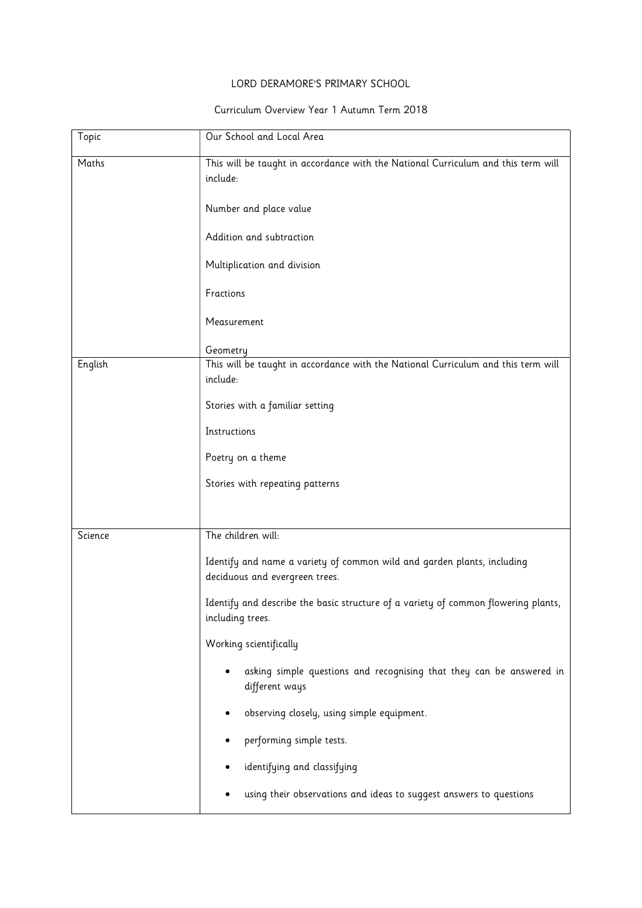## LORD DERAMORE'S PRIMARY SCHOOL

## Curriculum Overview Year 1 Autumn Term 2018

| Topic   | Our School and Local Area                                                                                 |
|---------|-----------------------------------------------------------------------------------------------------------|
| Maths   | This will be taught in accordance with the National Curriculum and this term will                         |
|         | include:                                                                                                  |
|         | Number and place value                                                                                    |
|         | Addition and subtraction                                                                                  |
|         | Multiplication and division                                                                               |
|         | Fractions                                                                                                 |
|         | Measurement                                                                                               |
|         | Geometry                                                                                                  |
| English | This will be taught in accordance with the National Curriculum and this term will                         |
|         | include:                                                                                                  |
|         | Stories with a familiar setting                                                                           |
|         | Instructions                                                                                              |
|         | Poetry on a theme                                                                                         |
|         | Stories with repeating patterns                                                                           |
|         |                                                                                                           |
| Science | The children will:                                                                                        |
|         | Identify and name a variety of common wild and garden plants, including<br>deciduous and evergreen trees. |
|         | Identify and describe the basic structure of a variety of common flowering plants,<br>including trees.    |
|         | Working scientifically                                                                                    |
|         | asking simple questions and recognising that they can be answered in<br>different ways                    |
|         | observing closely, using simple equipment.<br>٠                                                           |
|         | performing simple tests.                                                                                  |
|         | identifying and classifying                                                                               |
|         | using their observations and ideas to suggest answers to questions                                        |